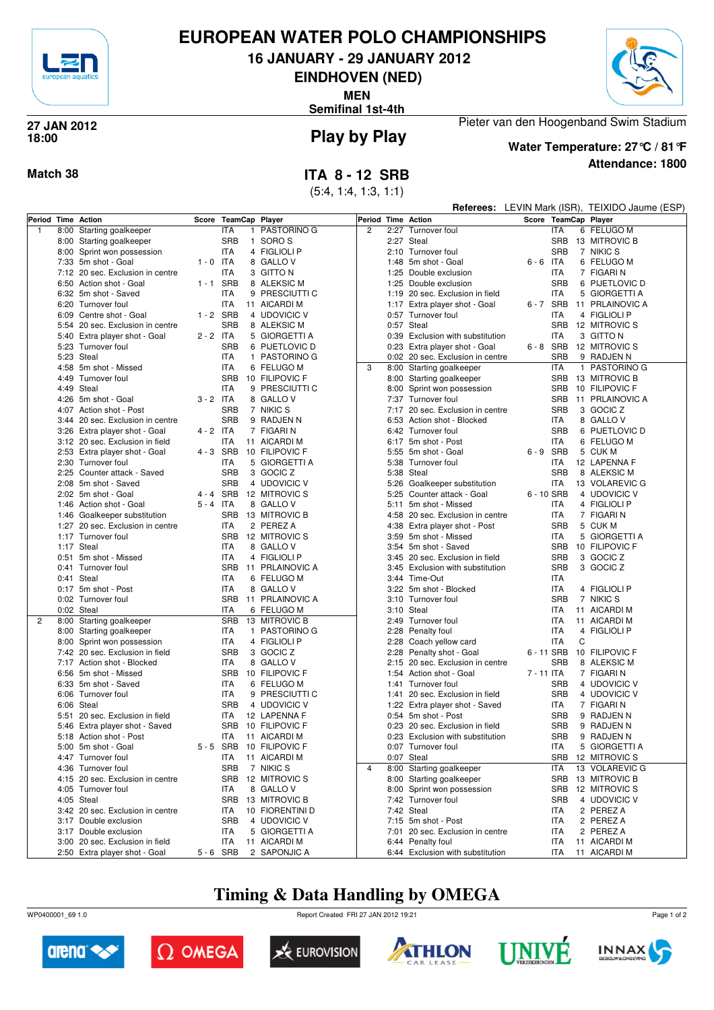

#### **EUROPEAN WATER POLO CHAMPIONSHIPS**

**16 JANUARY - 29 JANUARY 2012**

**EINDHOVEN (NED)**

**MEN**

**Semifinal 1st-4th**



## **18:00**



# **Play by Play 27 JAN 2012**

## **Water Temperature: 27°C / 81°F**

Pieter van den Hoogenband Swim Stadium

**Attendance: 1800**

|                |                                  |             |                      |  |                 |                |  |                                  | <b>Referees:</b> LEVIN Mark (ISR), TEIXIDO Jaume (ESP) |                      |   |                 |
|----------------|----------------------------------|-------------|----------------------|--|-----------------|----------------|--|----------------------------------|--------------------------------------------------------|----------------------|---|-----------------|
|                | Period Time Action               |             | Score TeamCap Player |  |                 |                |  | Period Time Action               |                                                        | Score TeamCap Player |   |                 |
| $\overline{1}$ | 8:00 Starting goalkeeper         |             | <b>ITA</b>           |  | 1 PASTORINO G   | $\overline{c}$ |  | 2:27 Turnover foul               |                                                        | <b>ITA</b>           |   | 6 FELUGO M      |
|                | 8:00 Starting goalkeeper         |             | <b>SRB</b>           |  | 1 SORO S        |                |  | 2:27 Steal                       |                                                        | <b>SRB</b>           |   | 13 MITROVIC B   |
|                | 8:00 Sprint won possession       |             | ITA                  |  | 4 FIGLIOLI P    |                |  | 2:10 Turnover foul               |                                                        | <b>SRB</b>           |   | 7 NIKIC S       |
|                | 7:33 5m shot - Goal              | $1 - 0$ ITA |                      |  | 8 GALLO V       |                |  | 1:48 5m shot - Goal              | $6 - 6$ ITA                                            |                      |   | 6 FELUGO M      |
|                | 7:12 20 sec. Exclusion in centre |             | <b>ITA</b>           |  | 3 GITTO N       |                |  | 1:25 Double exclusion            |                                                        | ITA                  |   | 7 FIGARI N      |
|                | 6:50 Action shot - Goal          | 1-1 SRB     |                      |  | 8 ALEKSIC M     |                |  | 1:25 Double exclusion            |                                                        | <b>SRB</b>           |   | 6 PIJETLOVIC D  |
|                | 6:32 5m shot - Saved             |             | <b>ITA</b>           |  | 9 PRESCIUTTI C  |                |  | 1:19 20 sec. Exclusion in field  |                                                        | <b>ITA</b>           |   | 5 GIORGETTI A   |
|                | 6:20 Turnover foul               |             | <b>ITA</b>           |  | 11 AICARDI M    |                |  | 1:17 Extra player shot - Goal    | 6-7 SRB                                                |                      |   | 11 PRLAINOVIC A |
|                | 6:09 Centre shot - Goal          | $1 - 2$ SRB |                      |  | 4 UDOVICIC V    |                |  | 0:57 Turnover foul               |                                                        | <b>ITA</b>           |   | 4 FIGLIOLI P    |
|                | 5:54 20 sec. Exclusion in centre |             | <b>SRB</b>           |  | 8 ALEKSIC M     |                |  | 0:57 Steal                       |                                                        | <b>SRB</b>           |   | 12 MITROVIC S   |
|                | 5:40 Extra player shot - Goal    | $2 - 2$ ITA |                      |  | 5 GIORGETTI A   |                |  | 0:39 Exclusion with substitution |                                                        | ITA                  |   | 3 GITTO N       |
|                | 5:23 Turnover foul               |             | <b>SRB</b>           |  | 6 PIJETLOVIC D  |                |  | 0:23 Extra player shot - Goal    | $6 - 8$ SRB                                            |                      |   | 12 MITROVIC S   |
|                | 5:23 Steal                       |             | <b>ITA</b>           |  | 1 PASTORINO G   |                |  | 0:02 20 sec. Exclusion in centre |                                                        | <b>SRB</b>           |   | 9 RADJEN N      |
|                | 4:58 5m shot - Missed            |             | <b>ITA</b>           |  | 6 FELUGO M      | 3              |  |                                  |                                                        | ITA                  |   | 1 PASTORINO G   |
|                | 4:49 Turnover foul               |             | <b>SRB</b>           |  |                 |                |  | 8:00 Starting goalkeeper         |                                                        | <b>SRB</b>           |   |                 |
|                |                                  |             |                      |  | 10 FILIPOVIC F  |                |  | 8:00 Starting goalkeeper         |                                                        |                      |   | 13 MITROVIC B   |
|                | 4:49 Steal                       |             | ITA                  |  | 9 PRESCIUTTI C  |                |  | 8:00 Sprint won possession       |                                                        | <b>SRB</b>           |   | 10 FILIPOVIC F  |
|                | 4:26 5m shot - Goal              | $3 - 2$ ITA |                      |  | 8 GALLO V       |                |  | 7:37 Turnover foul               |                                                        | <b>SRB</b>           |   | 11 PRLAINOVIC A |
|                | 4:07 Action shot - Post          |             | <b>SRB</b>           |  | 7 NIKIC S       |                |  | 7:17 20 sec. Exclusion in centre |                                                        | <b>SRB</b>           |   | 3 GOCIC Z       |
|                | 3:44 20 sec. Exclusion in centre |             | <b>SRB</b>           |  | 9 RADJEN N      |                |  | 6:53 Action shot - Blocked       |                                                        | ITA                  |   | 8 GALLO V       |
|                | 3:26 Extra player shot - Goal    | $4 - 2$ ITA |                      |  | 7 FIGARI N      |                |  | 6:42 Turnover foul               |                                                        | <b>SRB</b>           |   | 6 PIJETLOVIC D  |
|                | 3:12 20 sec. Exclusion in field  |             | <b>ITA</b>           |  | 11 AICARDI M    |                |  | 6:17 5m shot - Post              |                                                        | <b>ITA</b>           |   | 6 FELUGO M      |
|                | 2:53 Extra player shot - Goal    | 4-3 SRB     |                      |  | 10 FILIPOVIC F  |                |  | 5:55 5m shot - Goal              | 6-9 SRB                                                |                      |   | 5 CUK M         |
|                | 2:30 Turnover foul               |             | <b>ITA</b>           |  | 5 GIORGETTI A   |                |  | 5:38 Turnover foul               |                                                        | ITA                  |   | 12 LAPENNA F    |
|                | 2:25 Counter attack - Saved      |             | <b>SRB</b>           |  | 3 GOCIC Z       |                |  | 5:38 Steal                       |                                                        | <b>SRB</b>           |   | 8 ALEKSIC M     |
|                | 2:08 5m shot - Saved             |             | <b>SRB</b>           |  | 4 UDOVICIC V    |                |  | 5:26 Goalkeeper substitution     |                                                        | ITA                  |   | 13 VOLAREVIC G  |
|                | 2:02 5m shot - Goal              | 4-4 SRB     |                      |  | 12 MITROVIC S   |                |  | 5:25 Counter attack - Goal       | 6 - 10 SRB                                             |                      |   | 4 UDOVICIC V    |
|                | 1:46 Action shot - Goal          | $5 - 4$ ITA |                      |  | 8 GALLOV        |                |  | 5:11 5m shot - Missed            |                                                        | ITA                  |   | 4 FIGLIOLI P    |
|                | 1:46 Goalkeeper substitution     |             | <b>SRB</b>           |  | 13 MITROVIC B   |                |  | 4:58 20 sec. Exclusion in centre |                                                        | ITA                  |   | 7 FIGARI N      |
|                | 1:27 20 sec. Exclusion in centre |             | <b>ITA</b>           |  | 2 PEREZ A       |                |  | 4:38 Extra player shot - Post    |                                                        | <b>SRB</b>           |   | 5 CUK M         |
|                | 1:17 Turnover foul               |             | <b>SRB</b>           |  | 12 MITROVIC S   |                |  | 3:59 5m shot - Missed            |                                                        | ITA                  |   | 5 GIORGETTI A   |
|                | 1:17 Steal                       |             | ITA                  |  | 8 GALLO V       |                |  | 3:54 5m shot - Saved             |                                                        | <b>SRB</b>           |   | 10 FILIPOVIC F  |
|                | 0:51 5m shot - Missed            |             | ITA                  |  | 4 FIGLIOLI P    |                |  | 3:45 20 sec. Exclusion in field  |                                                        | <b>SRB</b>           |   | 3 GOCIC Z       |
|                | 0:41 Turnover foul               |             | <b>SRB</b>           |  | 11 PRLAINOVIC A |                |  | 3:45 Exclusion with substitution |                                                        | <b>SRB</b>           |   | 3 GOCIC Z       |
|                | 0:41 Steal                       |             | ITA                  |  | 6 FELUGO M      |                |  | 3:44 Time-Out                    |                                                        | ITA                  |   |                 |
|                | 0:17 5m shot - Post              |             | <b>ITA</b>           |  | 8 GALLO V       |                |  | 3:22 5m shot - Blocked           |                                                        | <b>ITA</b>           |   | 4 FIGLIOLI P    |
|                | 0:02 Turnover foul               |             | SRB                  |  | 11 PRLAINOVIC A |                |  | 3:10 Turnover foul               |                                                        | <b>SRB</b>           |   | 7 NIKIC S       |
|                | 0:02 Steal                       |             | ITA                  |  | 6 FELUGO M      |                |  | 3:10 Steal                       |                                                        | ITA                  |   | 11 AICARDI M    |
| $\overline{2}$ | 8:00 Starting goalkeeper         |             | <b>SRB</b>           |  | 13 MITROVIC B   |                |  | 2:49 Turnover foul               |                                                        | ITA                  |   | 11 AICARDI M    |
|                | 8:00 Starting goalkeeper         |             | <b>ITA</b>           |  | 1 PASTORINO G   |                |  | 2:28 Penalty foul                |                                                        | ITA                  |   | 4 FIGLIOLI P    |
|                | 8:00 Sprint won possession       |             | ITA                  |  | 4 FIGLIOLI P    |                |  | 2:28 Coach yellow card           |                                                        | ITA                  | C |                 |
|                | 7:42 20 sec. Exclusion in field  |             | <b>SRB</b>           |  | 3 GOCIC Z       |                |  | 2:28 Penalty shot - Goal         | 6 - 11 SRB                                             |                      |   | 10 FILIPOVIC F  |
|                | 7:17 Action shot - Blocked       |             | ITA                  |  | 8 GALLO V       |                |  | 2:15 20 sec. Exclusion in centre |                                                        | <b>SRB</b>           |   | 8 ALEKSIC M     |
|                | 6:56 5m shot - Missed            |             | <b>SRB</b>           |  | 10 FILIPOVIC F  |                |  | 1:54 Action shot - Goal          | 7 - 11 ITA                                             |                      |   | 7 FIGARI N      |
|                | 6:33 5m shot - Saved             |             | ITA                  |  | 6 FELUGO M      |                |  | 1:41 Turnover foul               |                                                        | <b>SRB</b>           |   | 4 UDOVICIC V    |
|                | 6:06 Turnover foul               |             | ITA                  |  | 9 PRESCIUTTI C  |                |  | 1:41 20 sec. Exclusion in field  |                                                        | <b>SRB</b>           |   | 4 UDOVICIC V    |
|                | 6:06 Steal                       |             | <b>SRB</b>           |  | 4 UDOVICIC V    |                |  | 1:22 Extra player shot - Saved   |                                                        | ITA                  |   | 7 FIGARI N      |
|                | 5:51 20 sec. Exclusion in field  |             | ITA                  |  | 12 LAPENNA F    |                |  | 0:54 5m shot - Post              |                                                        | <b>SRB</b>           |   | 9 RADJEN N      |
|                | 5:46 Extra player shot - Saved   |             | <b>SRB</b>           |  | 10 FILIPOVIC F  |                |  | 0:23 20 sec. Exclusion in field  |                                                        | <b>SRB</b>           |   | 9 RADJEN N      |
|                | 5:18 Action shot - Post          |             | ITA                  |  | 11 AICARDI M    |                |  | 0:23 Exclusion with substitution |                                                        | SRB                  |   | 9 RADJEN N      |
|                | 5:00 5m shot - Goal              |             | 5-5 SRB              |  | 10 FILIPOVIC F  |                |  | 0:07 Turnover foul               |                                                        | ITA                  |   | 5 GIORGETTI A   |
|                | 4:47 Turnover foul               |             | ITA                  |  | 11 AICARDI M    |                |  | 0:07 Steal                       |                                                        | <b>SRB</b>           |   | 12 MITROVIC S   |
|                | 4:36 Turnover foul               |             | <b>SRB</b>           |  | 7 NIKIC S       | $\overline{4}$ |  | 8:00 Starting goalkeeper         |                                                        | ITA                  |   | 13 VOLAREVIC G  |
|                | 4:15 20 sec. Exclusion in centre |             | SRB                  |  | 12 MITROVIC S   |                |  | 8:00 Starting goalkeeper         |                                                        | SRB                  |   | 13 MITROVIC B   |
|                | 4:05 Turnover foul               |             | <b>ITA</b>           |  | 8 GALLOV        |                |  | 8:00 Sprint won possession       |                                                        | <b>SRB</b>           |   | 12 MITROVIC S   |
|                | 4:05 Steal                       |             | SRB                  |  | 13 MITROVIC B   |                |  | 7:42 Turnover foul               |                                                        | SRB                  |   | 4 UDOVICIC V    |
|                | 3:42 20 sec. Exclusion in centre |             | <b>ITA</b>           |  | 10 FIORENTINI D |                |  | 7:42 Steal                       |                                                        | ITA                  |   | 2 PEREZ A       |
|                | 3:17 Double exclusion            |             | <b>SRB</b>           |  | 4 UDOVICIC V    |                |  | 7:15 5m shot - Post              |                                                        | ITA                  |   | 2 PEREZ A       |
|                | 3:17 Double exclusion            |             | <b>ITA</b>           |  | 5 GIORGETTI A   |                |  | 7:01 20 sec. Exclusion in centre |                                                        | <b>ITA</b>           |   | 2 PEREZ A       |
|                | 3:00 20 sec. Exclusion in field  |             | ITA                  |  | 11 AICARDI M    |                |  | 6:44 Penalty foul                |                                                        | ITA                  |   | 11 AICARDI M    |
|                | 2:50 Extra player shot - Goal    | 5-6 SRB     |                      |  | 2 SAPONJIC A    |                |  | 6:44 Exclusion with substitution |                                                        | ITA                  |   | 11 AICARDI M    |

### **Timing & Data Handling by OMEGA**

WP0400001\_69 1.0 Report Created FRI 27 JAN 2012 19:21













Page 1 of 2